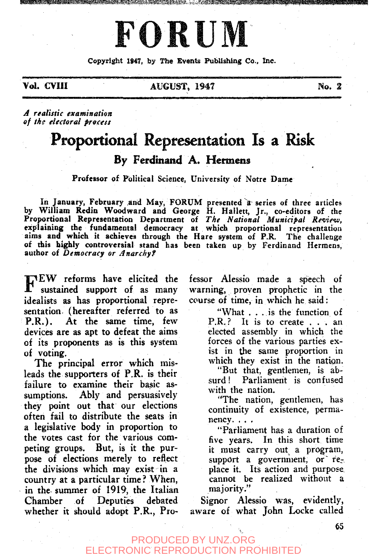# **FORUM**

f55,3% (50% <del>i - 200</del>% i - 10% i - 10% i - 10% i - 10% i - 10% i - 10% i - 10% i - 10% i - 10% i - 10% i - 10% i<br>Si

Copyright 1847, by The Events Publishing Co., Inc.

Vol. CVIII AUGUST, 194? No. 2

*A realistic examination of ths electoral process* 

# Proportional Representation Is a Risk By Ferdmand A. Hermens

Professor of Political Science, University of Notre Dame

In January, February and May, FORUM presented a series of three articles by William Redin Woodward and George H. Hailett, Jr., co-editors of the Proportional Representation Department of The National Municipal Review, explaining the fundamental democracy at which proportional representation aims and which it achieves through the Hare system of P.R. The challenge of this highly controversial stand has been taken up by Ferdinand Hermens, author of *Democracy or Anarchyf* 

TEW reforms have elicited the<br>sustained support of as many sustained support of as many idealists as has proportional representation, (hereafter referred to as P.R.). At the same time, few devices are as apt to defeat the aims of its proponents as is this system of voting.

The principal error which misleads the supporters of P.R. is their failure to examine their basic assumptions. Ably and persuasively they point out that our elections often fail to distribute the seats in a legislative body in proportion to the votes cast for the various competing groups. But, is it the purpose of elections merely to reflect the divisions which may exist in a country at a particular time ? When, in the summer of 1919, the Italian Chamber of Deputies debated whether it should adopt P.R., Professor Alessio made a speech of warning, proven prophetic in the course of time, in which he said:

> "What . . .is the function of P.R.? It is to create .. . an elected assembly in which the forces of the various parties exist in the same proportion in which they exist in the nation.

> "But that, gentlemen, is ab-Parliament is confused with the nation.

> "The nation, gentlemen, has continuity of existence, permanency. . . .

"Parliament has a duration of five years. In this short time it must carry out a program, support a government, or  $re$ place it. Its action and purpose cannot be realized without a majority."

Signor Alessio was, evidently, aware of what John Locke called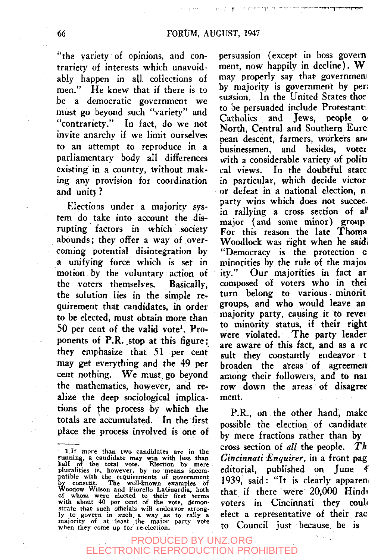The process property and the me

"the variety of opinions, and contrariety of interests which unavoidably happen in all collections of men." He knew that if there is to be a democratic government we must go beyond such "variety" and "contrariety." In fact, do we not invite anarchy if we limit ourselves to an attempt to reproduce in a parliamentary body all dififerences existing in a country, without making any provision for coordination and unity?

Elections under a majority system do take into account the disrupting factors in which society abounds; they offer a way of overcoming potential disintegration by a unifying force which is set in motion by the voluntary action of the voters themselves. Basically, the solution lies in the simple requirement that candidates, in order to be elected, must obtain more than  $50$  per cent of the valid vote<sup>1</sup>. Proponents of P.R. stop at this figure; they emphasize that 51 per cent may get everything and the 49 per cent nothing. We must go beyond the mathematics, however, and realize the deep sociological implications of the process by which the totals are accumulated. In the first place the process involved is one of

persuasion (except in boss govern ment, now happily in decline). W may properly say that governmen by majority is government by pen suasion. In the United States thos to be persuaded include Protestants Catholics and Jews, people North, Central and Southern Euro pean descent, farmers, workers an« businessmen, and besides, voter with a considerable variety of politi cal views. In the doubtful state in particular, which decide victor or defeat in a national election, n party wins which does not succeein rallying a cross section of al' major (and some minor) group For this reason the late Thoma Woodlock was right when he said "Democracy is the protection c minorities by the rule of the majoi ity." Our majorities in fact ar composed of voters who in thei turn belong to various minorit groups, and who would leave an majority party, causing it to rever to minority status, if their right were violated. The party leader are aware of this fact, and as a re suit they constantly endeavor t broaden the areas of agreemen among their followers, and to nai row down the areas of disagree ment.

P.R., on the other hand, make possible the election of candidate by mere fractions rather than by cross section of *all* the people. *Th Cincinnati Enquirer,* in a front pag editorial, published on June 4 1939, said: "It is clearly apparen that if there were 20,000 Hindi voters in Cincinnati they could elect a representative of their rac to Council just because, he is

<sup>1</sup> If more than two candidates are in the running, a candidate may win with less than half of the total vote. Election by mere pluralities is, however, by no means incompatible with the requirements of government by consen of whom were elected to their first terms with about 40 per cent of the vote, demonstrate that such officials will endeavor strongly to govern in such, a way as to rally a majority of at least the major party vote when they come up for re-election.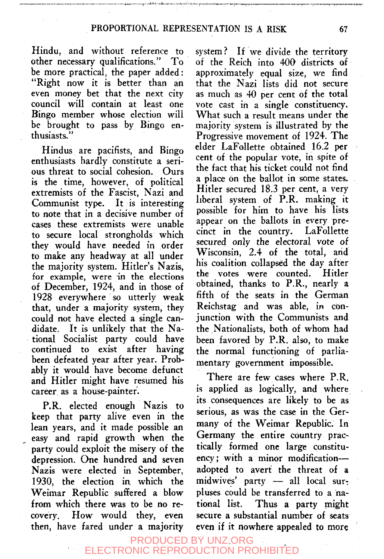Hindu, and without reference to other necessary qualifications." To be more practical, the paper added: "Right now it is better than an even money bet that the next city council will contain at least one Bingo member whose election will be brought to pass by Bingo enthusiasts."

Hindus are pacifists, and Bingo enthusiasts hardly constitute a serious threat to social cohesion. Ours is the time, however, of political extremists of the Fascist, Nazi and Communist type. It is interesting to note that in a decisive number of cases these extremists were unable to secure local strongholds which they would have needed in order to make any headway at all under the majority system. Hitler's Nazis, for example, were in the elections of December, 1924, and in those of 1928 everywhere so utterly weak that, under a majority system, they could not have elected a single candidate. It is unlikely that the National Socialist party could have continued to exist after having been defeated year after year. Probably it would have become defunct and Hitler might have resumed his career as a house-painter.

P.R. elected enough Nazis to keep that party alive even in the lean years, and it made possible an easy and rapid growth when the party could exploit the misery of the depression. One hundred and seven Nazis were elected in September, 1930, the election ia which the Weimar Republic suffered a blow from which there was to be no recovery. How would they, even then, have fared under a majority system? If we divide the territory of the Reich into 400 districts of approximately equal size, we find that the Nazi lists did not secure as much as 40 per cent of the total vote cast in a single constituency. What such a result means under the majority system is illustrated by the Progressive movement of 1924. The elder LaFollette obtained 16.2 per cent of the popular vote, in spite of the fact that his ticket could not find a place on the ballot in some states. Hitler secured 18.3 per cent, a very liberal system of P.R. making it possible for him to have his lists appear on the ballots in every precinct in the country. LaFollette secured only the electoral vote of Wisconsin, 2.4 of the total, and his coalition collapsed the day after the votes were counted. Hitler obtained, thanks to P.R., nearly a fifth of the seats in the German Reichstag and was able, in conjunction with the Communists and the Nationalists, both of whom had been favored by P.R. also, to make the normal functioning of parliamentary government impossible.

There are few cases where P.R. is applied as logically, and where its consequences are likely to be as serious, as was the case in the Germany of the Weimar Republic. In Germany the entire country practically formed one large constituency; with a minor modification adopted to avert the threat of a midwives' party — all local sur-; pluses could be transferred to a national list. Thus a party might secure a substantial number of seats even if it nowhere appealed to more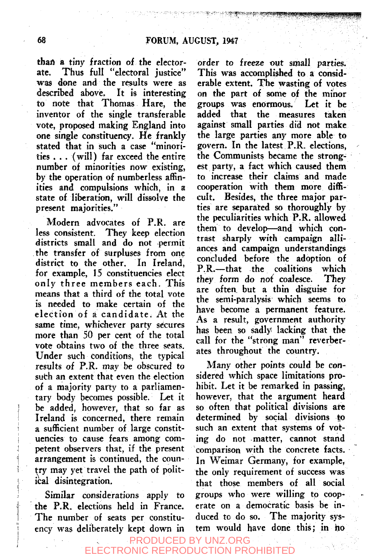thaa a tiny fraction of the electorate. Thus full "electoral justice" was done and the results were as<br>described above. It is interesting It is interesting to note that Thomas Hare, the inventor of the single transferable vote, proposed making England into one single constituency. He frankly stated that in such a case "minorities . . . (will) far exceed the entire number of minorities now existing, by the operation of numberless affinities and compulsions which, in a state of liberation, will dissolve the present majorities."

Modern advocates of P.R. are less consistent. They keep election districts small and do not permit the transfer of surpluses from one district to the other. In Ireland, for example, 15 constituencies elect only three members each. This means that a third of the total vote is needed to make certain of the election of a candidate. At the same time, whichever party secures more than 50 per cent of the total vote obtains two of the three seats. Under such conditions, the typical results of P.R. may be obscured to suth an extent that even the election of a majority party to a parliamentary body becomes possible. Let it be added, however, that so far as Ireland is concerned, there remain a sufficient number of large constituencies to cause fears among competent observers that, if the present arrangement is continued, the country may yet travel the path of political disintegration.

Similar considerations apply to the P.R. elections held in France. The number of seats per constituency was deliberately kept down in

order to freeze out small parties. This was accomplished to a considerable extent. The wasting of votes on the part of some of the minor groups was enormous. Let it be added that the measures taken against small parties did not make the large parties any more able to govern. In the latest P.R. elections, the Communists became the strongest party, a fact which caused them to increase their claims and made cooperation with them more difficult. Besides, the three major parties are separated so thoroughly by the peculiarities which P.R. allowed them to develop—and which contrast sharply with campaign alliances and campaign understandings concluded before the adoption of P.R.—that the coalitions which they form do not coalesce. They are oftea but a thin disguise for the semi-paralysis which seems to have become a permanent feature. As a result, government authority has been so sadlyi lacking that the call for the "strong man" reverberates throughout the country.

1'^'^^^^ ^ **^^** 

Many other points could be considered which space limitations prohibit. Let it be remarked in passing, however, that the argument heard so often that political divisions are determined by social divisions to such an extent that systems of voting do not matter, cannot stand comparison with the concrete facts. In Weimar Germany, for example, the only requirement of success was that those members of all social groups who were willing to cooperate on a democratic basis be induced to do so. The majority system would have done this; in ho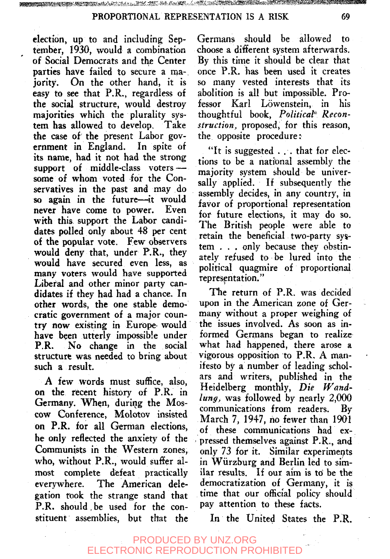election, up to and including September, 1930, would a combination of Social Democrats and the Center parties have failed to secure a majority. On the other hand, it is easy to see that P.R., regardless of the social structure, would destroy majorities which the plurality system has allowed to develop. Take the case of the present Labor government in England. In spite of its name, had it not had the strong support of middle-class voters some of whom voted for the Conservatives in the past and may do so again in the future—it would never have come to power. Even with this support the Labor candidates polled only about 48 per cent of the popular vote. Few observers would deny that, under P.R., they would have secured even less, as many voters would have supported Liberal and other minor party candidates if they had had a chance. In other words, the one stable democratic government of a major country now existing in Europe- would have been utterly impossible under P.R. No change in the social structure was needed to bring about such a result.

A few words must suffice, also, on the recent history of P.R. in Germany. When, during the Moscow Conference, Molotov insisted on P.R. for all German elections, he only reflected the anxiety of the Communists in the Western zones, who, without P.R., would suffer almost complete defeat practically everywhere. The American delegation rook the strange stand that P.R. should, be used for the constituent assemblies, but that the

Germans should be allowed to choose a different system afterwards. By this time it should be clear that once P.R. has been used it creates so many vested interests that its abolition is all but impossible. Professor Karl Lowenstein, in his thoughtful book, Political<sup>®</sup> Recon*struction,* proposed, for this reason, the opposite procedure:

"It is suggested .. . that for elections to be a national assembly the majority system should be universally applied. If subsequently the assembly decides, in any country, in favor of proportional representation for future elections, it may do so. The British people were able to retain the beneficial two-party system . . . only because they obstinately refused to be lured into the political quagmire of proportional representation."

The return of P.R. was decided upon in the American zone of Germany without a proper weighing of the issues involved. As soon as informed Germans began to realize what had happened, there arose a vigorous opposition to P.R. A manifesto by a number of leading scholars and writers, published in the Heidelberg monthly. *Die fVandlung*, was followed by nearly 2,000 communications from readers. By March 7, 1947, no fewer than 1901 of these communications had expressed themselves against P.R., and only 73 for it. Similar experiments in Wiirzburg and Berlin led to similar results. If our aim is to be the democratization of Germany, it is time that our official policy should pay attention to these facts.

In the United States the P.R.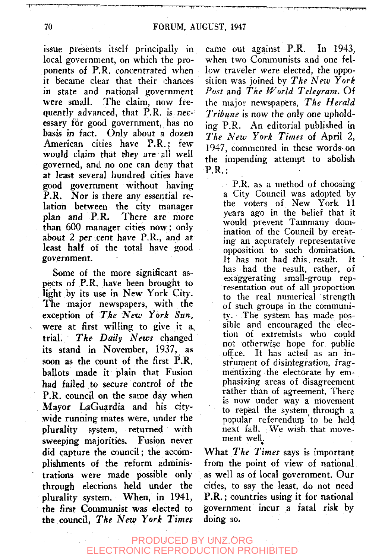issue presents itself principally in local government, on which the proponents of P.R. concentrated when it became clear that their chances in state and national government were small. The claim, now frequently advanced, that P.R. is necessary for good government, has no basis in fact. Only about a dozen American cities have P.R.; few would claim that they are all well governed, and no one can deny that at least several hundred cities have good government without having P.R. Nor is there any essential relation between the city manager plan and P.R. There are more than 600 manager cities now; only about 2 per cent have P.R., and at least half of the total have good government.

Some of the more significant aspects of P.R. have been brought to light by its use in New York City. The major newspapers, with the exception of *The New York Sun,*  were at first willing to give it a^ trial. *The Daily News* changed its stand in November, 1937, as soon as the count of the first P.R. ballots made it plain that Fusion had failed to secure control of the P.R. council on the same day when Mayor LaGuardia and his citywide running mates were, under the plurality system, returned with sweeping majorities. Fusion never did capture the council; the accomplishments of the reform administrations were made possible only through elections held under the plurality system. When, in 1941, the first Communist was elected to the council, *The New York Times* 

came out against P.R. In 1943, when two Communists and one fellow traveler were elected, the opposition was joined by *The New York Post* and *The World Telegram.* Of the major newspapers. *The Herald Tribune* is now the only one upholding P.R. An editorial published in *The New York Times* of April 2, 1947, commented in these words-on the impending attempt to abolish P.R.:

> P.R. as a method of choosing a City Council was adopted by the voters of New York 11 years ago in the belief that it would prevent Tammany domination of the Council by creating- an accurately representative opposition to such domination. It has not had this result. It has had the result, rather, of exaggerating small-group representation out of all proportion to the real numerical strength of such groups in the community. The system has made possible and encouraged the election of extremists who could not otherwise hope for public office. It has acted as an in- $\frac{1}{2}$  structure distribution, from strument of disintegration, fragmentizing the electorate by emphasizing areas of disagreement. rather than of agreement. There is now under way a movement to repeal the system through a popular referendum to be held next fall. We wish that movement well.

What *The Times* says is important from the point of view of national as well as of local government. Our cities, to say the least, do not need P.R.; countries using it for national government incur a fatal risk by doing so.